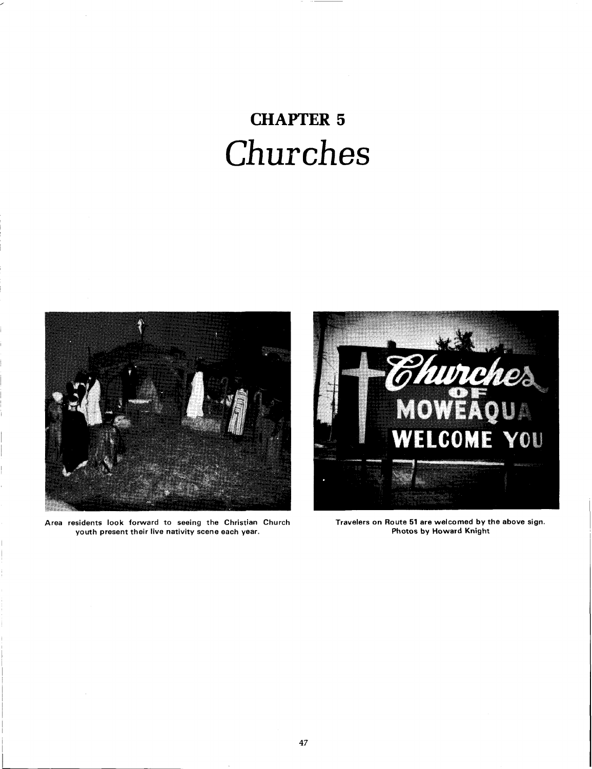## **CHAPTER 5**  Churches



**Area residents look forward to seeing the Christian Church Travelers on Route 51 are welcomed by the above sign.**  youth present their live nativity scene each year.

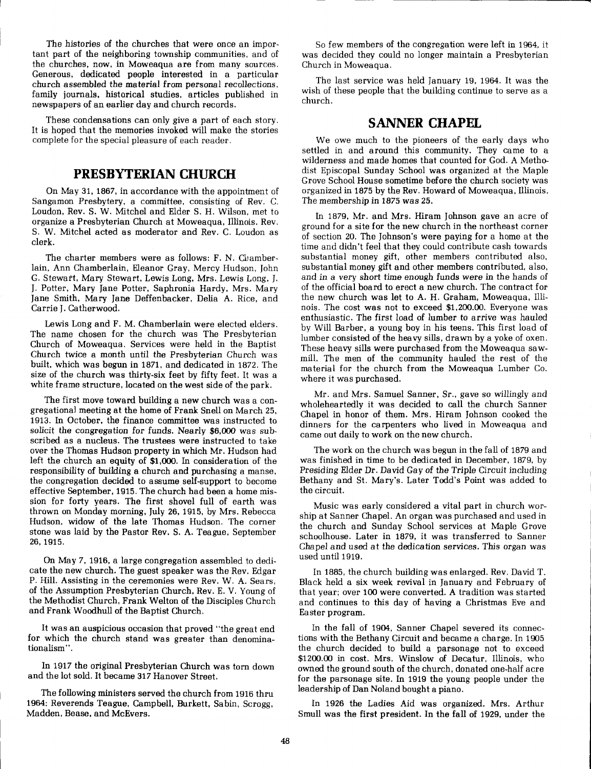The histories of the churches that were once an important part of the neighboring township communities, and of the churches, now, in Moweaqua are from many sources. Generous, dedicated people interested in a particular church assembled the material from personal recollections, family journals, historical studies, articles published in newspapers of an earlier day and church records.

These condensations can only give a part of each story. It is hoped that the memories invoked will make the stories complete for the special pleasure of each reader.

#### **PRESBYTERIAN CHURCH**

On May 31, 1867, in accordance with the appointment of Sangamon Presbytery, a committee, consisting of Rev. C. Loudon, Rev. S. W. Mitchel and Elder S. H. Wilson, met to organize a Presbyterian Church at Moweaqua, Illinois. Rev. S. W. Mitchel acted as moderator and Rev. C. Loudon as clerk.

The charter members were as follows: F. N. Chamberlain, Ann Chamberlain, Eleanor Gray, Mercy Hudson, John G. Stewart, Mary Stewart, Lewis Long, Mrs. Lewis Long, J. J. Potter, Mary Jane Potter, Saphronia Hardy, Mrs. Mary Jane Smith, Mary Jane Deffenbacker, Delia A. Rice, and Carrie J. Catherwood.

Lewis Long and F. M. Chamberlain were elected elders. The name chosen for the church was The Presbyterian Church of Moweaqua. Services were held in the Baptist Church twice a month until the Presbyterian Church was built, which was begun in 1871, and dedicated in 1872. The size of the church was thirty-six feet by fifty feet. It was a white frame structure, located on the west side of the park.

The first move toward building a new church was a congregational meeting at the home of Frank Snell on March 25, 1913. In October, the finance committee was instructed to solicit the congregation for funds. Nearly \$6,000 was subscribed as a nucleus. The trustees were instructed to take over the Thomas Hudson property in which Mr. Hudson had left the church an equity of \$1,000. In consideration of the responsibility of building a church and purchasing a manse, the congregation decided to assume self-support to become effective September, 1915. The church had been a home mission for forty years. The first shovel full of earth was thrown on Monday morning, July 26, 1915, by Mrs. Rebecca Hudson, widow of the late Thomas Hudson. The corner stone was laid by the Pastor Rev. S. A. Teague, September 26. 1915.

On May 7, 1916, a large congregation assembled to dedicate the new church. The guest speaker was the Rev. Edgar P. Hill. Assisting in the ceremonies were Rev. W. A. Sears, of the Assumption Presbyterian Church, Rev. E. V. Young of the Methodist Church, Frank Welton of the Disciples Church and Frank Woodhull of the Baptist Church.

It was an auspicious occasion that proved "the great end for which the church stand was greater than denominationalism".

In 1917 the original Presbyterian Church was torn down and the lot sold. It became 317 Hanover Street.

The following ministers served the church from 1916 thru 1964: Reverends Teague, Campbell, Burkett, Sabin, Scrogg, Madden, Bease, and McEvers.

So few members of the congregation were left in 1964, it was decided they could no longer maintain a Presbyterian Church in Moweaqua.

The last service was held January 19, 1964. It was the wish of these people that the building continue to serve as a church.

#### **SANNER CHAPEL**

We owe much to the pioneers of the early days who settled in and around this community. They came to a wilderness and made homes that counted for God. A Methodist Episcopal Sunday School was organized at the Maple Grove School House sometime before the church society was organized in 1875 by the Rev. Howard of Moweaqua, Illinois. The membership in 1875 was 25.

In 1879, Mr. and Mrs. Hiram Johnson gave an acre of ground for a site for the new church in the northeast corner of section 20. The Johnson's were paying for a home at the time and didn't feel that they could contribute cash towards substantial money gift, other members contributed also, substantial money gift and other members contributed, also, and in a very short time enough funds were in the hands of of the official board to erect a new church. The contract for the new church was let to A. H. Graham, Moweaqua, Illinois. The cost was not to exceed \$1,200.00. Everyone was enthusiastic. The first load of lumber to arrive was hauled by Will Barber, a young boy in his teens. This first load of lumber consisted of the heavy sills, drawn by a yoke of oxen. These heavy sills were purchased from the Moweaqua sawmill. The men of the community hauled the rest of the material for the church from the Moweaqua Lumber Co. where it was purchased.

Mr. and Mrs. Samuel Sanner, Sr., gave so willingly and wholeheartedly it was decided to call the church Sanner Chapel in honor of them. Mrs. Hiram Johnson cooked the dinners for the carpenters who lived in Moweaqua and came out daily to work on the new church.

The work on the church was begun in the fall of 1879 and was finished in time to be dedicated in December, 1879, by Presiding Elder Dr. David Gay of the Triple Circuit including Bethany and St. Mary's. Later Todd's Point was added to the circuit.

Music was early considered a vital part in church worship at Sanner Chapel. An organ was purchased and used in the church and Sunday School services at Maple Grove schoolhouse. Later in 1879, it was transferred to Sanner Chapel and used at the dedication services. This organ was used until 1919.

In 1885, the church building was enlarged. Rev. David T. <sup>I</sup>Black held a six week revival in January and February of that year; over 100 were converted. A tradition was started and continues to this day of having a Christmas Eve and Easter program.

In the fall of 1904, Sanner Chapel severed its connections with the Bethany Circuit and became a charge. In 1905 the church decided to build a parsonage not to exceed \$1200.00 in cost. Mrs. Winslow of Decatur, Illinois, who owned the ground south of the church, donated one-half acre for the parsonage site. In 1919 the young people under the leadership of Dan Noland bought a piano.

In 1926 the Ladies Aid was organized. Mrs. Arthur Smull was the first president. In the fall of 1929, under the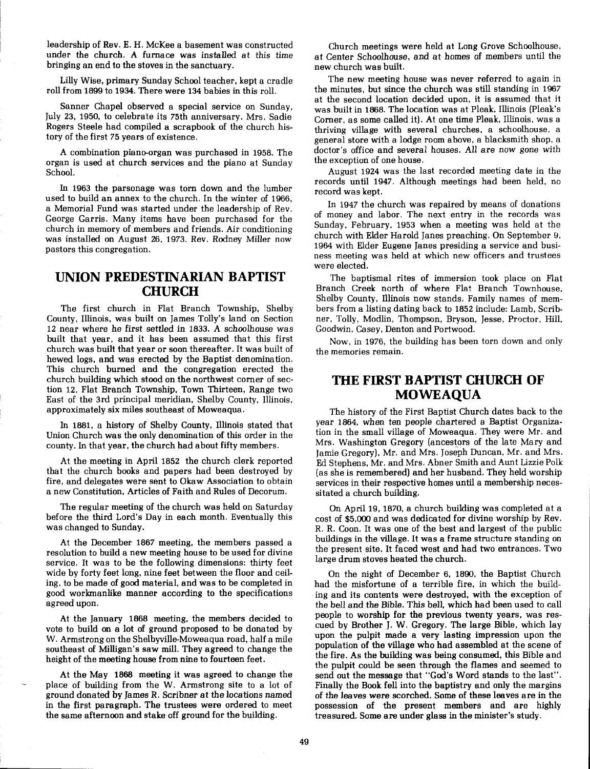leadership of Rev. E. H. McKee a basement was constructed under the church. A furnace was installed at this time bringing an end to the stoves in the sanctuary.

Lilly Wise, primary Sunday School teacher, kept a cradle roll from 1899 to 1934. There were 134 babies in this roll.

Sanner Chapel observed a special service on Sunday, July 23, 1950, to celebrate its **75th** anniversary. Mrs. Sadie Rogers Steele had compiled a scrapbook of the church history of the first 75 years of existence.

A combination pianeorgan was purchased in 1958. The organ is used at church services and the piano at Sunday School.

In 1963 the parsonage was torn down and the lumber used to build an annex to the church. In the winter of 1966, a Memorial Fund was started under the leadership of Rev. George Garris. Many items have been purchased for the church in memory of members and friends. Air conditioning was installed on August 26, 1973. Rev. Rodney Miller now pastors this congregation.

### **UNION PREDESTINARIAN BAPTIST CHURCH**

The first church in Flat Branch Township, Shelby County, Illinois, was built on James Tolly's land on Section 12 near where he first settled in 1833. A schoolhouse was built that year, and it has been assumed that this first church was built that year or soon thereafter. It was built of hewed logs, and was erected by the Baptist denomination. This church burned and the congregation erected the church building which stood on the northwest corner of section 12, Flat Branch Township, Town Thirteen, Range two East of the 3rd principal meridian, Shelby County, Illinois, approximately six miles southeast of Moweaqua.

In 1881, a history of Shelby County, Illinois stated that Union Church was the only denomination of this order in the county. In that year, the church had about fifty members.

At the meeting in April 1852 the church clerk reported that the church books and papers had been destroyed by fire, and delegates were sent to Okaw Association to obtain a new Constitution, Articles of Faith and Rules of Decorum.

The regular meeting of the church was held on Saturday before the third Lord's Day in each month. Eventually this was changed to Sunday.

At the December 1867 meeting, the members passed a resolution to build a new meeting house to be used for divine service. It was to be the following dimensions: thirty feet wide by forty feet long, nine feet between the floor and ceiling, to be made of good material, and was to be completed in good worlananlike manner according to the specifications agreed upon.

At the January 1868 meeting, the members decided to vote to build on a lot of ground proposed to be donated by W. Armstrong on the Shelbyville-Moweaqua road, half a mile southeast of Milligan's saw mill. They agreed to change the height of the meeting house from nine to fourteen feet.

At the May 1868 meeting it was agreed to change the send out the message that "God's Word stands to the last".<br>place of building from the W. Armstrong site to a lot of Finally the Book fell into the baptistry and only the place of building from the W. Armstrong site to a lot of Finally the Book fell into the baptistry and only the margins ground donated by James R. Scribner at the locations named of the leaves were scorched. Some of these l in the first paragraph. The trustees were ordered to meet possession of the present members and are highly the same afternoon and stake off ground for the building. treasured. Some are under glass in the minister's study.

Church meetings were held at Long Grove Schoolhouse, at Center Schoolhouse, and at homes of members until the new church was built.

The new meeting house was never referred to again in the minutes, but since the church was still standing in 1967 at the second location decided upon, it is assumed that it was built in 1868. The location was at Pleak, Illinois (Pleak's Corner, as some called it). At one time Pleak, Illinois, was a thriving village with several churches, a schoolhouse, a general store with a lodge room above, a blacksmith shop, a doctor's office and several houses. All are now gone with the exception of one house.

August 1924 was the last recorded meeting date in the records until 1947. Although meetings had been held, no record was kept.

In 1947 the church was repaired by means of donations of money and labor. The next entry in the records was Sunday, February, 1953 when a meeting was held at the church with Elder Harold Janes preaching. On September **9,**  1964 with Elder Eugene Janes presiding a service and business meeting was held at which new officers and trustees were elected.

The baptismal rites of immersion took place on Flat Branch Creek north of where Flat Branch Townhouse, Shelby County, Illinois now stands. Family names of members from a listing dating back to 1852 include: Lamb, Scribner, Tolly, Modlin, Thompson, Bryson, Jesse, Proctor, Hill, Goodwin, Casey, Denton and Portwood.

Now, in 1976, the building has been torn down and only the memories remain.

### **THE FIRST BAPTIST CHURCH OF MOWEAQUA**

The history of the First Baptist Church dates back to the year 1864, when ten people chartered **a** Baptist Organization in the small village of Moweaqua. They were Mr. and Mrs. Washington Gregory (ancestors of the late Mary and Jamie Gregory), Mr. and Mrs. Joseph Duncan, Mr. and Mrs. Ed Stephens, Mr. and Mrs. Abner Smith and Aunt Lizzie Polk (as she is remembered) and her husband. They held worship services in their respective homes until a membership necessitated a church building.

On April 19,1870, a church building was completed at a cost of \$5,000 and was dedicated for divine worship by Rev. R. R. Coon. It was one of the best and largest of the public buildings in the village. It was a frame structure standing on the present site. It faced west and had two entrances. Two large drum stoves heated the church.

On the night of December 6, 1890, the Baptist Church had the misfortune of a terrible fire, in which the building and its contents were destroyed, with the exception of the bell and the Bible. This bell, which had been used to call people to worship for the previous twenty years, was rescued by Brother J. W. Gregory. The large Bible, which lay upon the pulpit made a very lasting impression upon the population of the village who had assembled at the scene of the fire. As the building was being consumed, this Bible and the pulpit could be seen through the flames and seemed to of the leaves were scorched. Some of these leaves are in the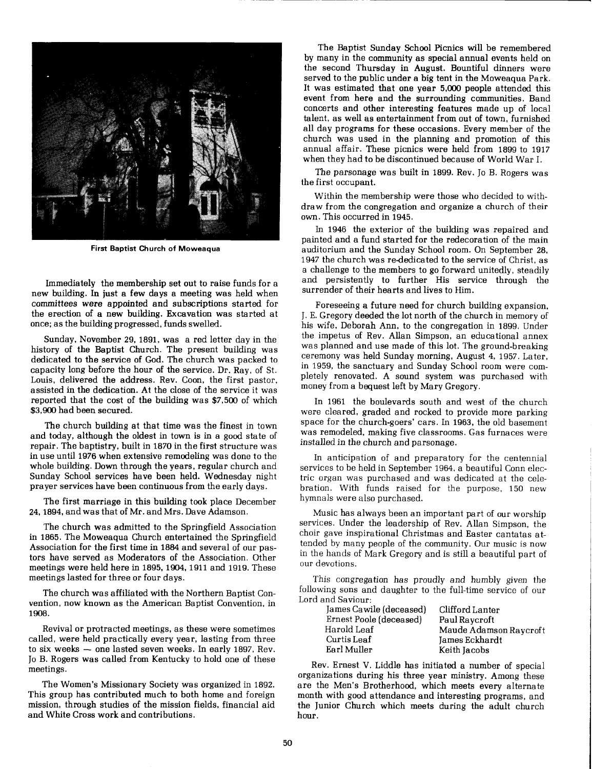

**First Baptist Church of Moweaqua** 

Immediately the membership set out to raise funds for a new building. In just a few days a meeting was held when committees were appointed and subscriptions started for the erection of a new building. Excavation was started at once; as the building progressed, funds swelled.

Sunday, November 29, 1891, was a red letter day in the history of the Baptist Church. The present building was dedicated to the service of God. The church was packed to capacity long before the hour of the service. Dr. Ray, of St. Louis, delivered the address. Rev. Coon, the first pastor, assisted in the dedication. At the close of the service it was reported that the cost of the building was \$7,500 of which \$3,900 had been secured.

The church building at that time was the finest in town and today, although the oldest in town is in a good state of repair. The baptistry, built in 1870 in the first structure was in use until 1976 when extensive remodeling was done to the whole building. Down through the years, regular church and Sunday School services have been held. Wednesday night prayer services have been continuous from the early days.

The first marriage in this building took place December 24,1894, and was that of Mr. and Mrs. Dave Adamson.

The church was admitted to the Springfield Association in 1865. The Moweaqua Church entertained the Springfield Association for the first time in 1884 and several of our pastors have served as Moderators of the Association. Other meetings were held here in 1895,1904, 1911 and 1919. These meetings lasted for three or four days.

The church was affiliated with the Northern Baptist Convention, now known as the American Baptist Convention, in 1908.

Revival or protracted meetings, as these were sometimes called, were held practically every year, lasting from three to six weeks - one lasted seven weeks. In early 1897, Rev. Jo B. Rogers was called from Kentucky to hold one of these meetings.

The Women's Missionary Society was organized in 1892. This group has contributed much to both home and foreign mission, through studies of the mission fields, financial aid and White Cross work and contributions.

The Baptist Sunday School Picnics will be remembered by many in the community as special annual events held on the second Thursday in August. Bountiful dinners were served to the public under a big tent in the Moweaqua Park. It was estimated that one year 5,000 people attended this event from here and the surrounding communities. Band concerts and other interesting features made up of local talent, as well as entertainment from out of town, furnished all day programs for these occasions. Every member of the church was used in the planning and promotion of this annual affair. These picnics were held from 1899 to 1917 when they had to be discontinued because of World War I.

The parsonage was built in 1899. Rev. Jo B. Rogers was the first occupant.

Within the membership were those who decided to withdraw from the congregation and organize a church of their own. This occurred in 1945.

In 1946 the exterior of the building was repaired and painted and a fund started for the redecoration of the main auditorium and the Sunday School room. On September 28, 1947 the church was rededicated to the service of Christ, as a challenge to the members to go forward unitedly, steadily and persistently to further His service through the surrender of their hearts and lives to Him.

Foreseeing a future need for church building expansion, J. E. Gregory deeded the lot north of the church in memory of his wife, Deborah Ann, to the congregation in 1899, Under the impetus of Rev. Allan Simpson, an educational annex was planned and use made of this lot. The ground-breaking ceremony was held Sunday morning, August 4, 1957. Later, in 1959, the sanctuary and Sunday School room were completely renovated. A sound system was purchased with money from a bequest left by Mary Gregory.

In 1961 the boulevards south and west of the church were cleared, graded and rocked to provide more parking space for the church-goers' cars. In 1963, the old basement was remodeled, making five classrooms. Gas furnaces were installed in the church and parsonage.

In anticipation of and preparatory for the centennial services to be held in September 1964, a beautiful Conn electric organ was purchased and was dedicated at the celebration. With funds raised for the purpose, 150 new hymnals were also purchased.

Music has always been an important part of our worship services. Under the leadership of Rev. Allan Simpson, the choir gave inspirational Christmas and Easter cantatas attended by many people of the community. Our music is now in the hands of Mark Gregory and is still a beautiful part of our devotions.

This congregation has proudly and humbly given the following sons and daughter to the full-time service of our Lord and Saviour:

| James Cawile (deceased) | Clifford Lanter        |
|-------------------------|------------------------|
| Ernest Poole (deceased) | Paul Raycroft          |
| Harold Leaf             | Maude Adamson Raycroft |
| Curtis Leaf             | James Eckhardt         |
| Earl Muller             | Keith Jacobs           |

Rev. Ernest V. Liddle has initiated a number of special organizations during his three year ministry. Among these are the Men's Brotherhood, which meets every alternate month with good attendance and interesting programs, and the Junior Church which meets during the adult church hour.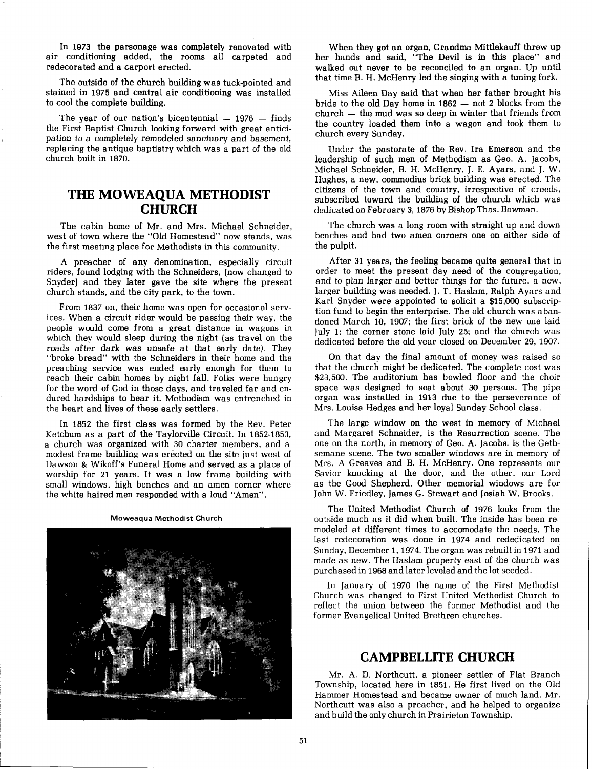In 1973 the parsonage was completely renovated with air conditioning added, the rooms all carpeted and redecorated and a carport erected.

The outside of the church building was tuck-pointed and stained in 1975 and central air conditioning was installed to cool the complete building.

The year of our nation's bicentennial  $- 1976 -$  finds the First Baptist Church looking forward with great anticipation to a completely remodeled sanctuary and basement, replacing the antique baptistry which was a part of the old church built in 1870.

#### **THE MOWEAQUA METHODIST CHURCH**

The cabin home of Mr. and Mrs. Michael Schneider, west of town where the "Old Homestead" now stands, was the first meeting place for Methodists in this community.

A preacher of any denomination, especially circuit riders, found lodging with the Schneiders, (now changed to Snyder) and they later gave the site where the present church stands, and the city park, to the town.

From 1837 on, their home was open for occasional services. When a circuit rider would be passing their way, the people would come from a great distance in wagons in which they would sleep during the night (as travel on the roads after dark was unsafe at that early date). They "broke bread" with the Schneiders in their home and the preaching service was ended early enough for them to reach their cabin homes by night fall. Folks were hungry for the word of God in those days, and traveled far and endured hardships to hear it. Methodism was entrenched in the heart and lives of these early settlers.

In 1852 the first class was formed by the Rev. Peter Ketchum as a part of the Taylorville Circuit. In 1852-1853, a church was organized with 30 charter members, and a modest frame building was erected on the site just west of Dawson & Wikoff's Funeral Home and served as a place of worship for 21 years. It was a low frame building with small windows, high benches and an amen corner where the white haired men responded with a loud "Amen".

**Moweaqua Methodist Church** 



When they got an organ, Grandma Mittlekauff threw up her hands and said, "The Devil is in this place" and walked out never to be reconciled to an organ. Up until that time B. H. McHenry led the singing with a tuning fork.

Miss Aileen Day said that when her father brought his bride to the old Day home in 1862  $-$  not 2 blocks from the bride to the old Day home in  $1862 - not 2$  blocks from the church  $-$  the mud was so deep in winter that friends from the country loaded them into a wagon and took them to church every Sunday.

Under the pastorate of the Rev. Ira Emerson and the leadership of such men of Methodism as Geo. A. Jacobs, Michael Schneider, B. H. McHenry, J. E. Ayars, and J. W. Hughes, a new, commodius brick building was erected. The citizens of the town and country, irrespective of creeds, subscribed toward the building of the church which was dedicated on February 3,1876 by Bishop Thos. Bowman.

The church was a long room with straight up and down benches and had two amen corners one on either side of the pulpit.

After 31 years, the feeling became quite general that in order to meet the present day need of the congregation, and to plan larger and better things for the future, a new, larger building was needed. J. T. Haslam, Ralph Ayars and Karl Snyder were appointed to solicit a \$15,000 subscription fund to begin the enterprise. The old church was abandoned March 10, 1907; the first brick of the new one laid July 1; the corner stone laid July 25; and the church was dedicated before the old year closed on December 29, 1907.

On that day the final amount of money was raised so that the church might be dedicated. The complete cost was \$23,500. The auditorium has bowled floor and the choir space was designed to seat about 30 persons. The pipe organ was installed in 1913 due to the perseverance of Mrs. Louisa Hedges and her loyal Sunday School class.

The large window on the west in memory of Michael and Margaret Schneider, is the Resurrection scene. The one on the north, in memory of Geo. A. Jacobs, is the Gethsemane scene. The two smaller windows are in memory of Mrs. **A** Greaves and B. H. McHenry. One represents our Savior knocking at the door, and the other, our Lord as the Good Shepherd. Other memorial windows are for John W. Friedley, James G. Stewart and Josiah W. Brooks.

The United Methodist Church of 1976 looks from the outside much as it did when built. The inside has been remodeled at different times to accomodate the needs. The last redecoration was done in 1974 and rededicated on Sunday, December 1,1974. The organ was rebuilt in 1971 and made as new. The Haslam property east of the church was purchased in 1968 and later leveled and the lot seeded.

In January of 1970 the name of the First Methodist Church was changed to First United Methodist Church to reflect the union between the former Methodist and the former Evangelical United Brethren churches.

#### **CAMPBELLITE CHURCH**

Mr. A. D. Northcutt, a pioneer settler of Flat Branch Township, located here in 1851. He first lived on the Old Hammer Homestead and became owner of much land. Mr. Northcutt was also a preaches, and he helped to organize and build the only church in Prairieton Township.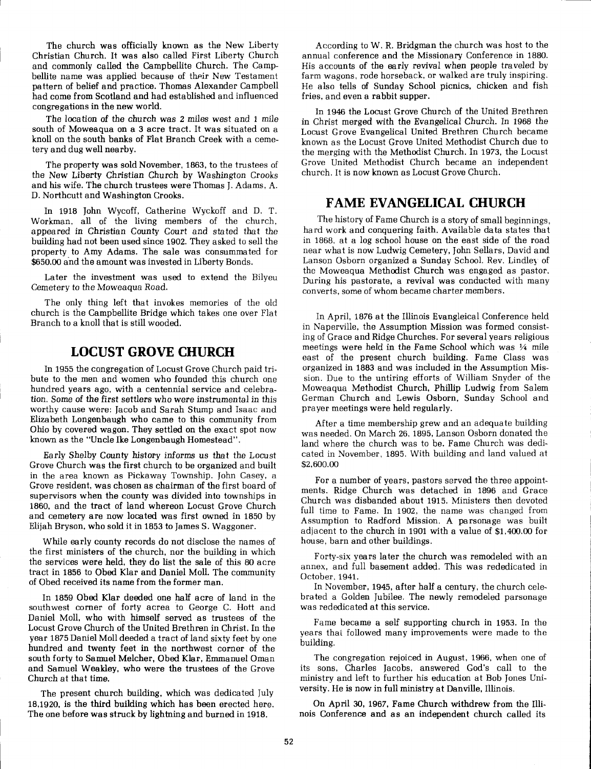The church was officially known as the New Liberty Christian Church. It was also called First Liberty Church and commonly called the Campbellite Church. The Campbellite name was applied because of their New Testament pattern of belief and practice. Thomas Alexander Campbell had come from Scotland and had established and influenced congregations in the new world.

The location of the church was 2 miles west and 1 mile south of Moweaqua on a 3 acre tract. It was situated on a knoll on the south banks of Flat Branch Creek with a cemetery and dug well nearby.

The property was sold November, 1863, to the trustees of the New Liberty Christian Church by Washington Crooks and his wife. The church trustees were Thomas J. Adams, A. D. Northcutt and Washington Crooks.

In 1918 John Wycoff, Catherine Wyckoff and D. T. Workman, all of the living members of the church, appeared in Christian County Court and stated that the building had not been used since 1902. They asked to sell the property to Amy Adams. The sale was consummated for \$650.00 and the amount was invested in Liberty Bonds.

Later the investment was used to extend the Bilyeu Cemetery to the Moweaqua Road.

The only thing left that invokes memories of the old church is the Campbellite Bridge which takes one over Flat Branch to a knoll that is still wooded.

#### **LOCUST GROVE CHURCH**

In 1955 the congregation of Locust Grove Church paid tribute to the men and women who founded this church one hundred years ago, with a centennial service and celebration. Some of the first settlers who were instrumental in this worthy cause were: Jacob and Sarah Stump and Isaac and Elizabeth Longenbaugh who came to this community from Ohio by covered wagon. They settled on the exact spot now known as the "Uncle Ike Longenbaugh Homestead".

Early Shelby County history informs us that the Locust Grove Church was the first church to be organized and built in the area known as Pickaway Township. John Casey, a Grove resident, was chosen as chairman of the first board of supervisors when the county was divided into townships in 1860, and the tract of land whereon Locust Grove Church and cemetery are now located was first owned in 1850 by Elijah Bryson, who sold it in 1853 to James S. Waggoner.

While early county records do not disclose the names of the first ministers of the church, nor the building in which the services were held, they do list the sale of this **80** acre tract in 1856 to Obed Klar and Daniel Moll. The community of Obed received its name from the former man.

In 1859 Obed Klar deeded one half acre of land in the southwest corner of forty acrea to George C. Hott and Daniel Moll, who with himself served as trustees of the Locust Grove Church of the United Brethren in Christ. In the year 1875 Daniel Moll deeded a tract of land sixty feet by one hundred and twenty feet in the northwest corner of the south forty to Samuel Melcher, Obed Klar, Ernmanuel Oman and Samuel Weakley, who were the trustees of the Grove Church at that time.

The present church building, which was dedicated July 18,1920, is the third building which has been erected here. The one before was struck by lightning and burned in 1918.

According to  $W$ . R. Bridgman the church was host to the annual conference and the Missionary Conference in 1880. His accounts of the early revival when people traveled by farm wagons, rode horseback, or walked are truly inspiring. He also tells of Sunday School picnics, chicken and fish fries, and even a rabbit supper.

In 1946 the Locust Grove Church of the United Brethren in Christ merged with the Evangelical Church. In 1968 the Locust Grove Evangelical United Brethren Church became known as the Locust Grove United Methodist Church due to the merging with the Methodist Church. In 1973, the Locust Grove United Methodist Church became an independent church. It is now known as Locust Grove Church.

#### **FAME EVANGELICAL CHURCH**

The history of Fame Church is a story of small beginnings, hard work and conquering faith. Available data states that in 1868, at a log school house on the east side of the road near what is now Ludwig Cemetery, John Sellars, David and Lanson Osborn organized a Sunday School. Rev. Lindley of the Moweaqua Methodist Church was engaged as pastor. During his pastorate, a revival was conducted with many converts, some of whom became charter members.

In April, 1876 at the Illinois Evangleical Conference held in Naperville, the Assumption Mission was formed consisting of Grace and Ridge Churches. For several years religious meetings were held in the Fame School which was  $\frac{1}{4}$  mile east of the present church building. Fame Class was organized in 1883 and was included in the Assumption Mission. Due to the untiring efforts of William Snyder of the Moweaqua Methodist Church, Phillip Ludwig from Salem German Church and Lewis Osborn, Sunday School and prayer meetings were held regularly.

After a time membership grew and an adequate building was needed. On March 26, 1895, Lanson Osborn donated the land where the church was to be. Fame Church was dedicated in November, 1895. With building and land valued at \$2,600.00

For a number of years, pastors served the three appointments. Ridge Church was detached in 1896 and Grace Church was disbanded about 1915. Ministers then devoted full time to Fame. In 1902, the name was changed from Assumption to Radford Mission. A parsonage was built adjacent to the church in 1901 with a value of \$1,400.00 for house, barn and other buildings.

Forty-six years later the church was remodeled with an annex, and full basement added. This was rededicated in October, 1941.

In November, 1945, after half a century, the church celebrated a Golden Jubilee. The newly remodeled parsonage was rededicated at this service.

Fame became a self supporting church in 1953. In the years thai followed many improvements were made to the building.

The congregation rejoiced in August, 1966, when one of its sons, Charles Jacobs, answered God's call to the ministry and left to further his education at Bob Jones University. He is now in full ministry at Danville, Illinois.

On April 30, 1967, Fame Church withdrew from the Illinois Conference and as an independent church called its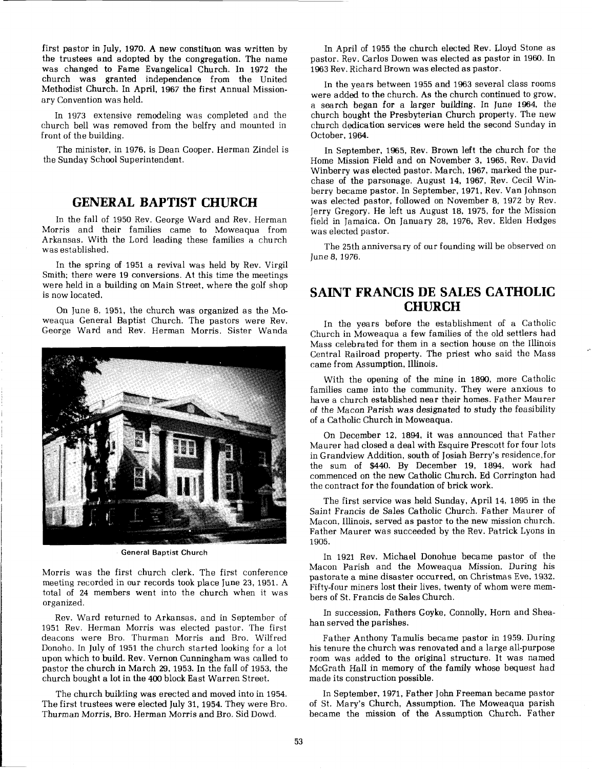first pastor in July, 1970. A new constituon was written by the trustees and adopted by the congregation. The name was changed to Fame Evangelical Church. In 1972 the church was granted independence from the United Methodist Church. In April, 1967 the first Annual Missionary Convention was held.

In 1973 extensive remodeling was completed and the church bell was removed from the belfry and mounted in front of the building.

The minister, in 1976, is Dean Cooper. Herman Zindel is the Sunday School Superintendent.

### **GENERAL BAPTIST CHURCH**

In the fall of 1950 Rev. George Ward and Rev. Herman Morris and their families came to Moweaqua from Arkansas. With the Lord leading these families a church was established.

In the spring of 1951 a revival was held by Rev. Virgil Smith; there were 19 conversions. At this time the meetings were held in a building on Main Street, where the golf shop is now located.

On June 8, 1951, the church was organized as the Moweaqua General Baptist Church. The pastors were Rev. George Ward and Rev. Herman Morris. Sister Wanda



**General Baptist Church** 

Morris was the first church clerk. The first conference meeting recorded in our records took place June 23, 1951. A total of 24 members went into the church when it was organized.

Rev. Ward returned to Arkansas, and in September of 1951 Rev. Herman Morris was elected pastor. The first deacons were Bro. Thurman Morris and Bro. Wilfred Donoho. In July of 1951 the church started looking for a lot upon which to build. Rev. Vernon Cunningham was called to pastor the church in March 29, 1953, In the fall of 1953, the church bought a lot in the 400 block East Warren Street.

The church building was erected and moved into in 1954. The first trustees were elected July 31, 1954. They were Bro. Thurman Morris, Bro. Herman Morris and Bro. Sid Dowd.

In April of 1955 the church elected Rev. Lloyd Stone as pastor. Rev. Carlos Dowen was elected as pastor in 1960. In 1963 Rev. Richard Brown was elected as pastor.

In the years between 1955 and 1963 several class rooms were added to the church. As the church continued to grow, a search began for a larger building. In June 1964, the church bought the Presbyterian Church property. The new church dedication services were held the second Sunday in October, 1964.

In September, 1965, Rev. Brown left the church for the Home Mission Field and on November 3, 1965, Rev. David Winberry was elected pastor. March, 1967, marked the purchase of the parsonage. August 14, 1967, Rev. Cecil Winberry became pastor. In September, 1971, Rev. Van Johnson was elected pastor, followed on November 8, 1972 by Rev. Jerry Gregory. He left us August 18, 1975, for the Mission field in Jamaica. On January 28, 1976, Rev. Elden Hedges was elected pastor.

The 25th anniversary of our founding will be observed on June 8, 1976.

### **SAINT FRANCIS DE SALES CATHOLIC CHURCH**

In the years before the establishment of a Catholic Church in Moweaqua a few families of the old settlers had Mass celebrated for them in a section house on the Illinois Central Railroad property. The priest who said the Mass came from Assumption, Illinois.

With the opening of the mine in 1890, more Catholic families came into the community. They were anxious to have a church established near their homes. Father Maurer of the Macon Parish was designated to study the feasibility of a Catholic Church in Moweaqua.

On December 12, 1894, it was announced that Father Maurer had closed a deal with Esquire Prescott for four lots in Grandview Addition, south of Josiah Berry's residence,for the sum of \$440. By December 19, 1894, work had commenced on the new Catholic Church. Ed Corrington had the contract for the foundation of brick work.

The first service was held Sunday, April 14, 1895 in the Saint Francis de Sales Catholic Church. Father Maurer of Macon, Illinois, served as pastor to the new mission church. Father Maurer was succeeded by the Rev. Patrick Lyons in 1905.

In 1921 Rev. Michael Donohue became pastor of the Macon Parish and the Moweaqua Mission. During his pastorate a mine disaster occurred, on Christmas Eve, 1932. Fifty-four miners lost their lives, twenty of whom were members of St. Francis de Sales Church.

In succession, Fathers Goyke, Connolly, Horn and Sheahan served the parishes.

Father Anthony Tamulis became pastor in 1959. During his tenure the church was renovated and a large all-purpose room was added to the original structure. It was named McGrath Hall in memory of the family whose bequest had made its construction possible.

In September, 1971, Father John Freeman became pastor of St. Mary's Church, Assumption. The Moweaqua parish became the mission of the Assumption Church. Father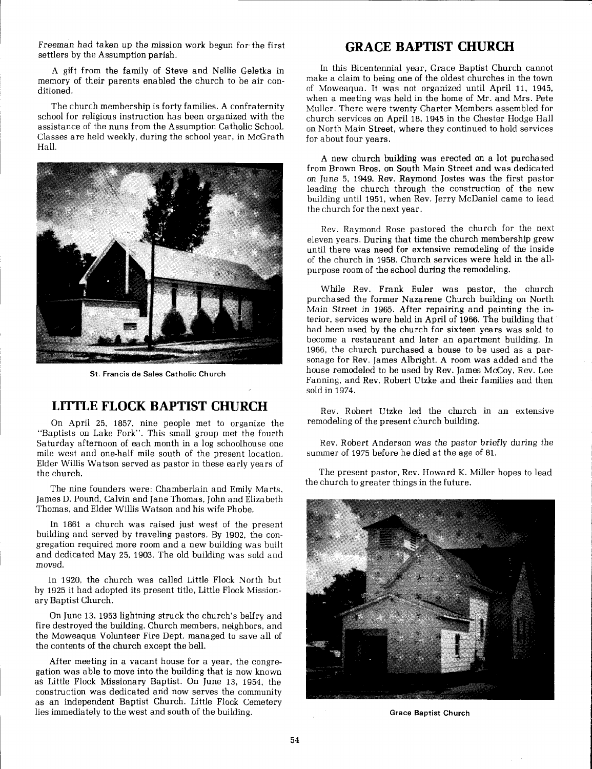Freeman had taken up the mission work begun for the first settlers by the Assumption parish.

A gift from the family of Steve and Nellie Geletka in memory of their parents enabled the church to be air conditioned.

The church membership is forty families. A confraternity school for religious instruction has been organized with the assistance of the nuns from the Assumption Catholic School. Classes are held weekly, during the school year, in McGrath Hall.



**St. Francis de Sales Catholic Church** 

#### **LITTLE FLOCK BAPTIST CHURCH**

On April 25, 1857, nine people met to organize the "Baptists on Lake Fork". This small group met' the fourth Saturday afternoon of each month in a log schoolhouse one mile west and one-half mile south of the present location. Elder Willis Watson served as pastor in these early years of the church.

The nine founders were: Chamberlain and Emily Marts. James D. Pound, Calvin and Jane Thomas, John and Elizabeth Thomas, and Elder Willis Watson and his wife Phobe.

In 1861 a church was raised just west of the present building and served by traveling pastors. By 1902, the congregation required more room and a new building was built and dedicated May 25, 1903. The old building was sold and moved.

In 1920, the church was called Little Flock North but by 1925 it had adopted its present title, Little Flock Missionary Baptist Church.

On June 13,1953 lightning struck the church's belfry and fire destroyed the building. Church members, neighbors, and the Moweaqua Volunteer Fire Dept. managed to save all of the contents of the church except the bell.

After meeting in a vacant house for a year, the congregation was able to move into the building that is now known as Little Flock Missionary Baptist. On June 13, 1954, the construction was dedicated and now serves the community as an independent Baptist Church. Little Flock Cemetery lies immediately to the west and south of the building.

### **GRACE BAPTIST CHURCH**

Ln this Bicentennial year, Grace Baptist Church cannot make a claim to being one of the oldest churches in the town of Moweaqua. It was not organized until April 11, 1945, when a meeting was held in the home of Mr. and Mrs. Pete Muller. There were twenty Charter Members assembled for church services on April 18, 1945 in the Chester Hodge Hall on North Main Street, where they continued to hold services for about four years.

A new church building was erected on a lot purchased from Brown Bros. on South Main Street and was dedicated on June 5, 1949. Rev. Raymond Jostes was the first pastor leading the church through the construction of the new building until 1951, when Rev. Jerry McDaniel came to lead the church for the next year.

Rev. Raymond Rose pastored the church for the next eleven years. During that time the church membership grew until there was need for extensive remodeling of the inside of the church in 1958. Church services were held in the allpurpose room of the school during the remodeling.

While Rev. Frank Euler was pastor, the church purchased the former Nazarene Church building on North Main Street in 1965. After repairing and painting the interior, services were held in April of 1966. The building that had been used by the church for sixteen years was sold to become a restaurant and later an apartment building. In 1966, the church purchased a house to be used as a parsonage for Rev. James Albright. A room was added and the house remodeled to be used by Rev. James McCoy, Rev. Lee Fanning, and Rev. Robert Utzke and their families and then sold in 1974.

Rev. Robert Utzke led the church in an extensive remodeling of the present church building.

Rev. Robert Anderson was the pastor briefly during the summer of 1975 before he died at the age of 81.

The present pastor, Rev. Howard K. Miller hopes to lead the church to greater things in the future.



**Grace Baptist Church**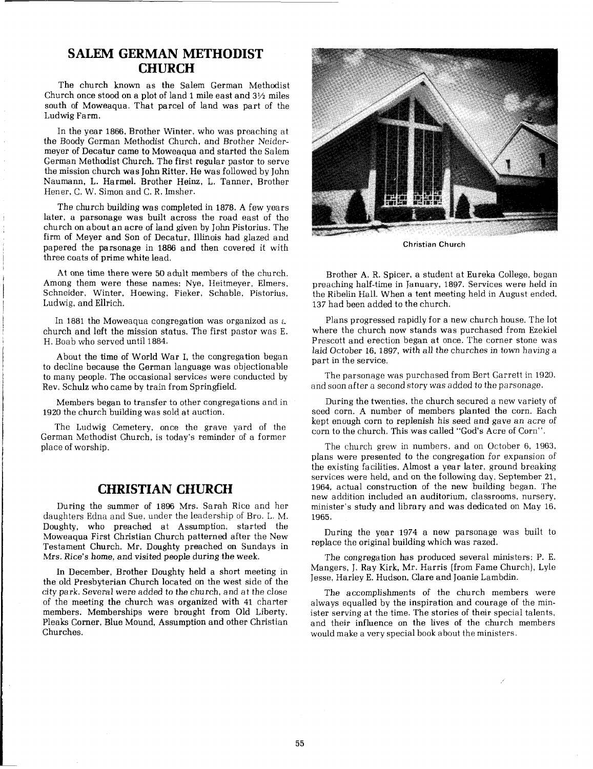#### **SALEM GERMAN METHODIST CHURCH**

The church known as the Salem German Methodist Church once stood on a plot of land 1 mile east and **3%** miles south of Moweaqua. That parcel of land was part of the Ludwig Farm.

In the year 1866, Brother Winter, who was preaching at the Boody German Methodist Church, and Brother Neidermeyer of Decatur came to Moweaqua and started the Salem German Methodist Church. The first regular pastor to serve the mission church was John Ritter. He was followed by John Naumann, L. Harmel. Brother Heinz, L. Tanner, Brother Hener, C. W. Simon and C. R. Imsher.

The church building was completed in 1878. A few years later, a parsonage was built across the road east of the church on about an acre of land given by John Pistorius. The firm of Meyer and Son of Decatur, Illinois had glazed and papered the parsonage in 1886 and then covered it with three coats of prime white lead.

At one time there were 50 adult members of the church. Among them were these names: Nye, Heitmeyer, Elmers, Schneider, Winter, Hoewing, Fieker, Schable, Pistorius, Ludwig, and Ellrich.

In 1881 the Moweaqua congregation was organized as **t**  church and left the mission status. The first pastor was E. H. Boab who served until 1884.

About the time of World War I, the congregation began to decline because the German language was objectionable to many people. The occasional services were conducted by Rev. Schulz who came by train from SpringfieId.

I Members began to transfer to other congregations and in 1920 the church building was sold at auction.

The Ludwig Cemetery, once the grave yard of the German Methodist Church, is today's reminder of a former place of worship.

#### **CHRISTIAN CHURCH**

During the summer of 1896 Mrs. Sarah Rice and her daughters Edna and Sue, under the leadership of Bro. L. M. Doughty, who preached at Assumption, started the Moweaqua First Christian Church patterned after the New Testament Church. Mr. Doughty preached on Sundays in Mrs. Rice's home, and visited people during the week.

In December, Brother Doughty held a short meeting in the old Presbyterian Church located on the west side of the city park. Several were added to the church, and at the close of the meeting the church was organized with 41 charter members. Memberships were brought from Old Liberty, Pleaks Corner, Blue Mound, Assumption and other Christian Churches.



**Christian Church** 

Brother A. R. Spicer, a student at Eureka College, began preaching half-time in January, 1897. Services were held in the Ribelin Hall. When a tent meeting held in August ended, 137 had been added to the church.

Plans progressed rapidly for a new church house. The lot where the church now stands was purchased from Ezekiel Prescott and erection began at once. The corner stone was laid October 16, 1897, with all the churches in town having a part in the service.

The parsonage was purchased from Bert Garrett in 1920, and soon after a second story was added to the parsonage.

During the twenties, the church secured a new variety of seed corn. A number of members planted the corn. Each kept enough corn to replenish his seed and gave an acre of corn to the church. This was called "God's Acre of Corn".

The church grew in numbers, and on October 6, 1963, plans were presented to the congregation for expansion of the existing facilities. Almost a year later, ground breaking services were held, and on the following day, September 21, 1964, actual construction of the new building began. The new addition included an auditorium, classrooms, nursery, minister's study and library and was dedicated on May 16, 1965.

During the year 1974 a new parsonage was built to replace the original building which was razed.

The congregation has produced several ministers: P. E. Mangers, J. Ray Kirk, Mr. Harris (from Fame Church), Lyle Jesse, Harley E. Hudson, Clare and Joanie Lambdin.

The accomplishments of the church members were always equalled by the inspiration and courage of the minister serving at the time. The stories of their special talents, and their influence on the lives of the church members would make a very special book about the ministers.